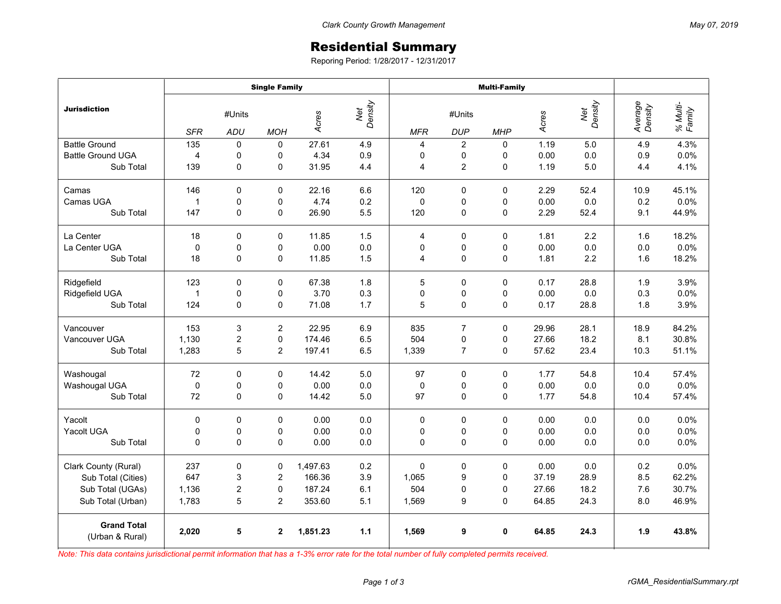## Residential Summary

Reporing Period: 1/28/2017 - 12/31/2017

|                                       | <b>Single Family</b> |                  |                |          |                | <b>Multi-Family</b> |                |              |       |                |                    |                    |
|---------------------------------------|----------------------|------------------|----------------|----------|----------------|---------------------|----------------|--------------|-------|----------------|--------------------|--------------------|
| <b>Jurisdiction</b>                   | #Units               |                  |                | Acres    | Net<br>Density | #Units              |                |              | Acres | Net<br>Density | Average<br>Density | % Multi-<br>Family |
|                                       | <b>SFR</b>           | ADU              | <b>MOH</b>     |          |                | <b>MFR</b>          | <b>DUP</b>     | <b>MHP</b>   |       |                |                    |                    |
| <b>Battle Ground</b>                  | 135                  | $\Omega$         | 0              | 27.61    | 4.9            | $\overline{4}$      | $\overline{c}$ | $\Omega$     | 1.19  | 5.0            | 4.9                | 4.3%               |
| <b>Battle Ground UGA</b>              | $\overline{4}$       | 0                | 0              | 4.34     | 0.9            | 0                   | 0              | 0            | 0.00  | 0.0            | 0.9                | 0.0%               |
| Sub Total                             | 139                  | 0                | $\mathbf 0$    | 31.95    | 4.4            | $\overline{4}$      | $\overline{c}$ | $\Omega$     | 1.19  | 5.0            | 4.4                | 4.1%               |
| Camas                                 | 146                  | 0                | $\mathbf 0$    | 22.16    | 6.6            | 120                 | $\mathbf 0$    | $\Omega$     | 2.29  | 52.4           | 10.9               | 45.1%              |
| Camas UGA                             | 1                    | $\mathbf 0$      | 0              | 4.74     | 0.2            | $\Omega$            | 0              | 0            | 0.00  | 0.0            | 0.2                | 0.0%               |
| Sub Total                             | 147                  | 0                | $\Omega$       | 26.90    | 5.5            | 120                 | $\mathbf 0$    | $\Omega$     | 2.29  | 52.4           | 9.1                | 44.9%              |
| La Center                             | 18                   | $\Omega$         | $\Omega$       | 11.85    | 1.5            | 4                   | $\pmb{0}$      | $\Omega$     | 1.81  | 2.2            | 1.6                | 18.2%              |
| La Center UGA                         | $\mathbf 0$          | 0                | 0              | 0.00     | 0.0            | $\mathbf 0$         | 0              | 0            | 0.00  | 0.0            | 0.0                | 0.0%               |
| Sub Total                             | 18                   | 0                | 0              | 11.85    | 1.5            | 4                   | $\pmb{0}$      | 0            | 1.81  | 2.2            | 1.6                | 18.2%              |
| Ridgefield                            | 123                  | $\mathbf 0$      | 0              | 67.38    | 1.8            | 5                   | $\mathbf 0$    | $\Omega$     | 0.17  | 28.8           | 1.9                | 3.9%               |
| Ridgefield UGA                        | 1                    | 0                | 0              | 3.70     | 0.3            | 0                   | 0              | 0            | 0.00  | 0.0            | 0.3                | 0.0%               |
| Sub Total                             | 124                  | $\mathbf 0$      | 0              | 71.08    | 1.7            | 5                   | 0              | $\mathbf 0$  | 0.17  | 28.8           | 1.8                | 3.9%               |
| Vancouver                             | 153                  | 3                | 2              | 22.95    | 6.9            | 835                 | $\overline{7}$ | 0            | 29.96 | 28.1           | 18.9               | 84.2%              |
| Vancouver UGA                         | 1,130                | $\boldsymbol{2}$ | 0              | 174.46   | 6.5            | 504                 | 0              | $\Omega$     | 27.66 | 18.2           | 8.1                | 30.8%              |
| Sub Total                             | 1,283                | 5                | 2              | 197.41   | 6.5            | 1,339               | $\overline{7}$ | $\mathbf 0$  | 57.62 | 23.4           | 10.3               | 51.1%              |
| Washougal                             | 72                   | $\mathbf 0$      | $\mathbf 0$    | 14.42    | 5.0            | 97                  | $\mathbf 0$    | $\mathbf 0$  | 1.77  | 54.8           | 10.4               | 57.4%              |
| Washougal UGA                         | $\pmb{0}$            | 0                | 0              | 0.00     | 0.0            | $\pmb{0}$           | 0              | 0            | 0.00  | 0.0            | 0.0                | 0.0%               |
| Sub Total                             | 72                   | $\mathbf 0$      | $\Omega$       | 14.42    | 5.0            | 97                  | $\Omega$       | $\Omega$     | 1.77  | 54.8           | 10.4               | 57.4%              |
| Yacolt                                | 0                    | 0                | 0              | 0.00     | 0.0            | 0                   | $\mathbf 0$    | 0            | 0.00  | 0.0            | 0.0                | 0.0%               |
| Yacolt UGA                            | 0                    | $\mathbf 0$      | 0              | 0.00     | 0.0            | $\Omega$            | 0              | 0            | 0.00  | 0.0            | 0.0                | 0.0%               |
| Sub Total                             | 0                    | $\mathbf 0$      | 0              | 0.00     | 0.0            | $\Omega$            | $\mathbf 0$    | $\mathbf 0$  | 0.00  | 0.0            | 0.0                | 0.0%               |
| Clark County (Rural)                  | 237                  | $\mathbf 0$      | $\mathbf 0$    | 1,497.63 | 0.2            | $\Omega$            | $\mathbf 0$    | $\Omega$     | 0.00  | 0.0            | 0.2                | 0.0%               |
| Sub Total (Cities)                    | 647                  | 3                | 2              | 166.36   | 3.9            | 1,065               | 9              | $\mathbf{0}$ | 37.19 | 28.9           | 8.5                | 62.2%              |
| Sub Total (UGAs)                      | 1,136                | 2                | 0              | 187.24   | 6.1            | 504                 | 0              | 0            | 27.66 | 18.2           | 7.6                | 30.7%              |
| Sub Total (Urban)                     | 1,783                | 5                | $\overline{2}$ | 353.60   | 5.1            | 1,569               | 9              | $\Omega$     | 64.85 | 24.3           | 8.0                | 46.9%              |
| <b>Grand Total</b><br>(Urban & Rural) | 2,020                | 5                | $\mathbf 2$    | 1,851.23 | 1.1            | 1,569               | 9              | 0            | 64.85 | 24.3           | 1.9                | 43.8%              |

*Note: This data contains jurisdictional permit information that has a 1-3% error rate for the total number of fully completed permits received.*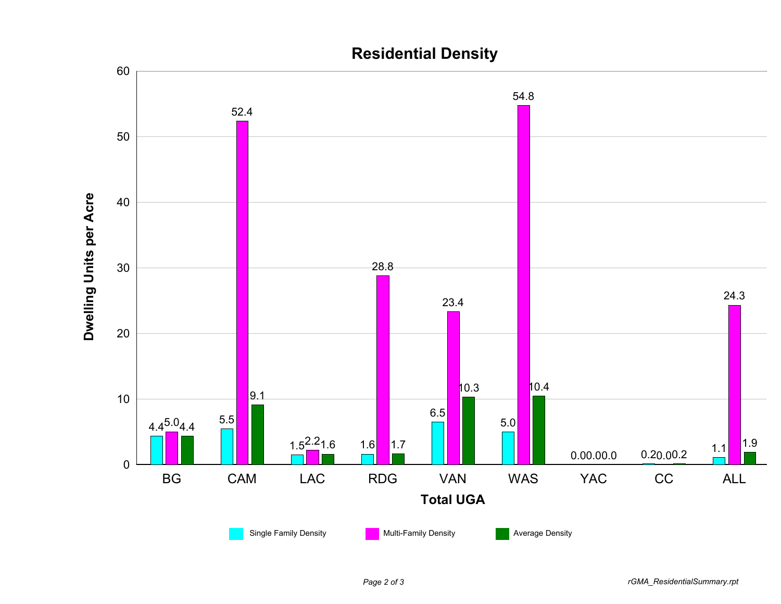